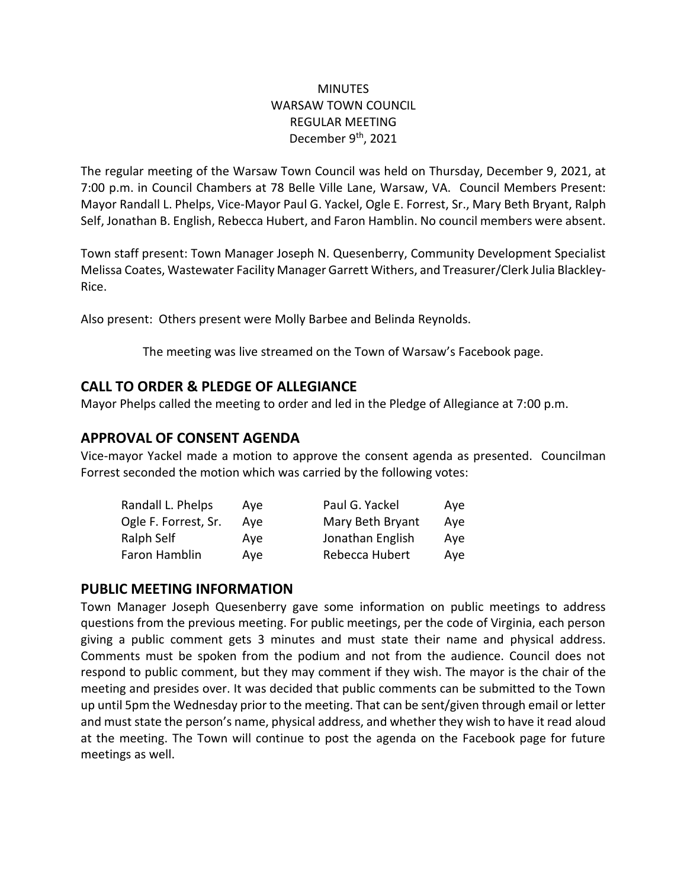### **MINUTES** WARSAW TOWN COUNCIL REGULAR MEETING December 9<sup>th</sup>, 2021

The regular meeting of the Warsaw Town Council was held on Thursday, December 9, 2021, at 7:00 p.m. in Council Chambers at 78 Belle Ville Lane, Warsaw, VA. Council Members Present: Mayor Randall L. Phelps, Vice-Mayor Paul G. Yackel, Ogle E. Forrest, Sr., Mary Beth Bryant, Ralph Self, Jonathan B. English, Rebecca Hubert, and Faron Hamblin. No council members were absent.

Town staff present: Town Manager Joseph N. Quesenberry, Community Development Specialist Melissa Coates, Wastewater Facility Manager Garrett Withers, and Treasurer/Clerk Julia Blackley-Rice.

Also present: Others present were Molly Barbee and Belinda Reynolds.

The meeting was live streamed on the Town of Warsaw's Facebook page.

## **CALL TO ORDER & PLEDGE OF ALLEGIANCE**

Mayor Phelps called the meeting to order and led in the Pledge of Allegiance at 7:00 p.m.

# **APPROVAL OF CONSENT AGENDA**

Vice-mayor Yackel made a motion to approve the consent agenda as presented. Councilman Forrest seconded the motion which was carried by the following votes:

| Randall L. Phelps    | Ave | Paul G. Yackel   | Ave |
|----------------------|-----|------------------|-----|
| Ogle F. Forrest, Sr. | Ave | Mary Beth Bryant | Aye |
| Ralph Self           | Ave | Jonathan English | Aye |
| Faron Hamblin        | Ave | Rebecca Hubert   | Ave |

## **PUBLIC MEETING INFORMATION**

Town Manager Joseph Quesenberry gave some information on public meetings to address questions from the previous meeting. For public meetings, per the code of Virginia, each person giving a public comment gets 3 minutes and must state their name and physical address. Comments must be spoken from the podium and not from the audience. Council does not respond to public comment, but they may comment if they wish. The mayor is the chair of the meeting and presides over. It was decided that public comments can be submitted to the Town up until 5pm the Wednesday prior to the meeting. That can be sent/given through email or letter and must state the person's name, physical address, and whether they wish to have it read aloud at the meeting. The Town will continue to post the agenda on the Facebook page for future meetings as well.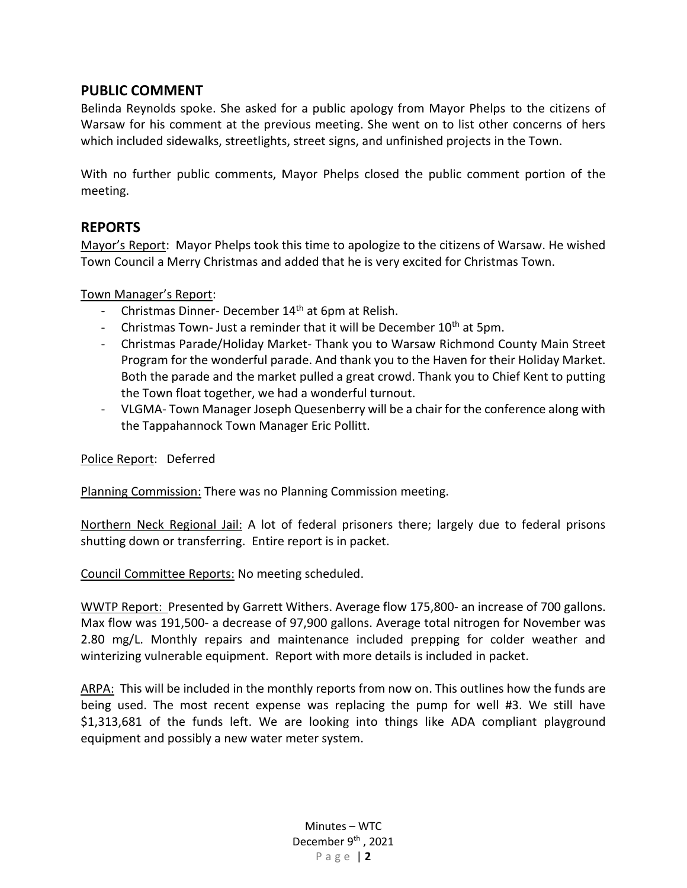### **PUBLIC COMMENT**

Belinda Reynolds spoke. She asked for a public apology from Mayor Phelps to the citizens of Warsaw for his comment at the previous meeting. She went on to list other concerns of hers which included sidewalks, streetlights, street signs, and unfinished projects in the Town.

With no further public comments, Mayor Phelps closed the public comment portion of the meeting.

### **REPORTS**

Mayor's Report: Mayor Phelps took this time to apologize to the citizens of Warsaw. He wished Town Council a Merry Christmas and added that he is very excited for Christmas Town.

### Town Manager's Report:

- Christmas Dinner- December 14<sup>th</sup> at 6pm at Relish.
- Christmas Town- Just a reminder that it will be December  $10<sup>th</sup>$  at 5pm.
- Christmas Parade/Holiday Market- Thank you to Warsaw Richmond County Main Street Program for the wonderful parade. And thank you to the Haven for their Holiday Market. Both the parade and the market pulled a great crowd. Thank you to Chief Kent to putting the Town float together, we had a wonderful turnout.
- VLGMA- Town Manager Joseph Quesenberry will be a chair for the conference along with the Tappahannock Town Manager Eric Pollitt.

Police Report: Deferred

Planning Commission: There was no Planning Commission meeting.

Northern Neck Regional Jail: A lot of federal prisoners there; largely due to federal prisons shutting down or transferring. Entire report is in packet.

Council Committee Reports: No meeting scheduled.

WWTP Report: Presented by Garrett Withers. Average flow 175,800- an increase of 700 gallons. Max flow was 191,500- a decrease of 97,900 gallons. Average total nitrogen for November was 2.80 mg/L. Monthly repairs and maintenance included prepping for colder weather and winterizing vulnerable equipment. Report with more details is included in packet.

ARPA: This will be included in the monthly reports from now on. This outlines how the funds are being used. The most recent expense was replacing the pump for well #3. We still have \$1,313,681 of the funds left. We are looking into things like ADA compliant playground equipment and possibly a new water meter system.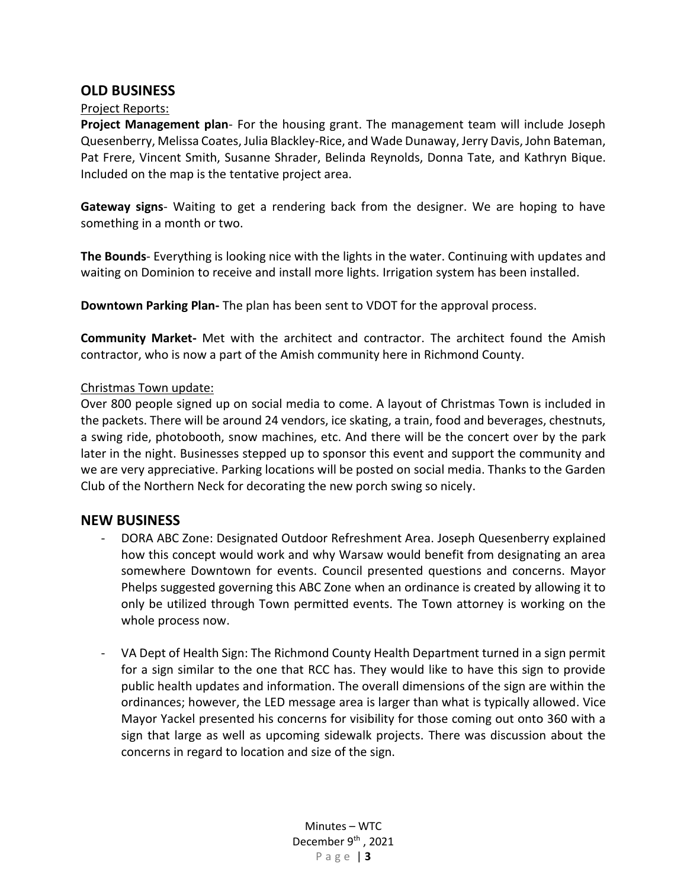### **OLD BUSINESS**

#### Project Reports:

**Project Management plan**- For the housing grant. The management team will include Joseph Quesenberry, Melissa Coates, Julia Blackley-Rice, and Wade Dunaway, Jerry Davis, John Bateman, Pat Frere, Vincent Smith, Susanne Shrader, Belinda Reynolds, Donna Tate, and Kathryn Bique. Included on the map is the tentative project area.

**Gateway signs**- Waiting to get a rendering back from the designer. We are hoping to have something in a month or two.

**The Bounds**- Everything is looking nice with the lights in the water. Continuing with updates and waiting on Dominion to receive and install more lights. Irrigation system has been installed.

**Downtown Parking Plan-** The plan has been sent to VDOT for the approval process.

**Community Market-** Met with the architect and contractor. The architect found the Amish contractor, who is now a part of the Amish community here in Richmond County.

#### Christmas Town update:

Over 800 people signed up on social media to come. A layout of Christmas Town is included in the packets. There will be around 24 vendors, ice skating, a train, food and beverages, chestnuts, a swing ride, photobooth, snow machines, etc. And there will be the concert over by the park later in the night. Businesses stepped up to sponsor this event and support the community and we are very appreciative. Parking locations will be posted on social media. Thanks to the Garden Club of the Northern Neck for decorating the new porch swing so nicely.

#### **NEW BUSINESS**

- DORA ABC Zone: Designated Outdoor Refreshment Area. Joseph Quesenberry explained how this concept would work and why Warsaw would benefit from designating an area somewhere Downtown for events. Council presented questions and concerns. Mayor Phelps suggested governing this ABC Zone when an ordinance is created by allowing it to only be utilized through Town permitted events. The Town attorney is working on the whole process now.
- VA Dept of Health Sign: The Richmond County Health Department turned in a sign permit for a sign similar to the one that RCC has. They would like to have this sign to provide public health updates and information. The overall dimensions of the sign are within the ordinances; however, the LED message area is larger than what is typically allowed. Vice Mayor Yackel presented his concerns for visibility for those coming out onto 360 with a sign that large as well as upcoming sidewalk projects. There was discussion about the concerns in regard to location and size of the sign.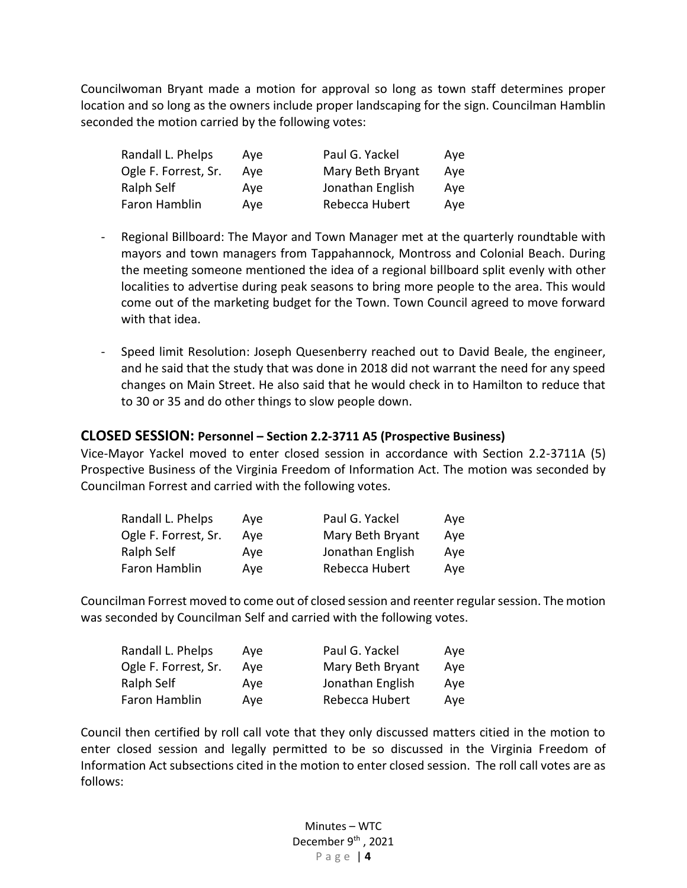Councilwoman Bryant made a motion for approval so long as town staff determines proper location and so long as the owners include proper landscaping for the sign. Councilman Hamblin seconded the motion carried by the following votes:

| Randall L. Phelps    | Ave | Paul G. Yackel   | Ave |
|----------------------|-----|------------------|-----|
| Ogle F. Forrest, Sr. | Ave | Mary Beth Bryant | Aye |
| Ralph Self           | Ave | Jonathan English | Aye |
| Faron Hamblin        | Ave | Rebecca Hubert   | Aye |

- Regional Billboard: The Mayor and Town Manager met at the quarterly roundtable with mayors and town managers from Tappahannock, Montross and Colonial Beach. During the meeting someone mentioned the idea of a regional billboard split evenly with other localities to advertise during peak seasons to bring more people to the area. This would come out of the marketing budget for the Town. Town Council agreed to move forward with that idea.
- Speed limit Resolution: Joseph Quesenberry reached out to David Beale, the engineer, and he said that the study that was done in 2018 did not warrant the need for any speed changes on Main Street. He also said that he would check in to Hamilton to reduce that to 30 or 35 and do other things to slow people down.

#### **CLOSED SESSION: Personnel – Section 2.2-3711 A5 (Prospective Business)**

Vice-Mayor Yackel moved to enter closed session in accordance with Section 2.2-3711A (5) Prospective Business of the Virginia Freedom of Information Act. The motion was seconded by Councilman Forrest and carried with the following votes.

| Randall L. Phelps    | Ave | Paul G. Yackel   | Aye |
|----------------------|-----|------------------|-----|
| Ogle F. Forrest, Sr. | Ave | Mary Beth Bryant | Aye |
| Ralph Self           | Ave | Jonathan English | Ave |
| Faron Hamblin        | Ave | Rebecca Hubert   | Ave |

Councilman Forrest moved to come out of closed session and reenter regular session. The motion was seconded by Councilman Self and carried with the following votes.

| Randall L. Phelps    | Ave | Paul G. Yackel   | Ave |
|----------------------|-----|------------------|-----|
| Ogle F. Forrest, Sr. | Ave | Mary Beth Bryant | Ave |
| Ralph Self           | Ave | Jonathan English | Ave |
| Faron Hamblin        | Ave | Rebecca Hubert   | Ave |

Council then certified by roll call vote that they only discussed matters citied in the motion to enter closed session and legally permitted to be so discussed in the Virginia Freedom of Information Act subsections cited in the motion to enter closed session. The roll call votes are as follows: